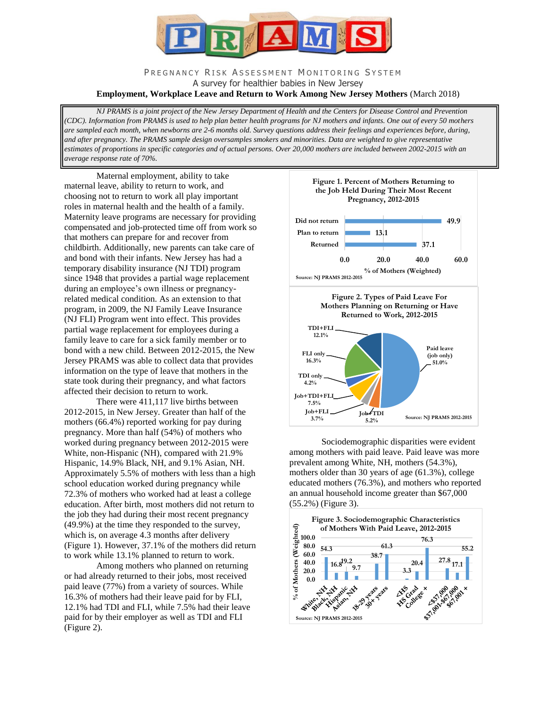

# PREGNANCY RISK ASSESSMENT MONITORING SYSTEM A survey for healthier babies in New Jersey

**Employment, Workplace Leave and Return to Work Among New Jersey Mothers** (March 2018)

*NJ PRAMS is a joint project of the New Jersey Department of Health and the Centers for Disease Control and Prevention (CDC). Information from PRAMS is used to help plan better health programs for NJ mothers and infants. One out of every 50 mothers are sampled each month, when newborns are 2-6 months old. Survey questions address their feelings and experiences before, during, and after pregnancy. The PRAMS sample design oversamples smokers and minorities. Data are weighted to give representative estimates of proportions in specific categories and of actual persons. Over 20,000 mothers are included between 2002-2015 with an average response rate of 70%.*

Maternal employment, ability to take maternal leave, ability to return to work, and choosing not to return to work all play important roles in maternal health and the health of a family. Maternity leave programs are necessary for providing compensated and job-protected time off from work so that mothers can prepare for and recover from childbirth. Additionally, new parents can take care of and bond with their infants. New Jersey has had a temporary disability insurance (NJ TDI) program since 1948 that provides a partial wage replacement during an employee's own illness or pregnancyrelated medical condition. As an extension to that program, in 2009, the NJ Family Leave Insurance (NJ FLI) Program went into effect. This provides partial wage replacement for employees during a family leave to care for a sick family member or to bond with a new child. Between 2012-2015, the New Jersey PRAMS was able to collect data that provides information on the type of leave that mothers in the state took during their pregnancy, and what factors affected their decision to return to work.

There were 411,117 live births between 2012-2015, in New Jersey. Greater than half of the mothers (66.4%) reported working for pay during pregnancy. More than half (54%) of mothers who worked during pregnancy between 2012-2015 were White, non-Hispanic (NH), compared with 21.9% Hispanic, 14.9% Black, NH, and 9.1% Asian, NH. Approximately 5.5% of mothers with less than a high school education worked during pregnancy while 72.3% of mothers who worked had at least a college education. After birth, most mothers did not return to the job they had during their most recent pregnancy (49.9%) at the time they responded to the survey, which is, on average 4.3 months after delivery (Figure 1). However, 37.1% of the mothers did return to work while 13.1% planned to return to work.

Among mothers who planned on returning or had already returned to their jobs, most received paid leave (77%) from a variety of sources. While 16.3% of mothers had their leave paid for by FLI, 12.1% had TDI and FLI, while 7.5% had their leave paid for by their employer as well as TDI and FLI (Figure 2).



Sociodemographic disparities were evident among mothers with paid leave. Paid leave was more prevalent among White, NH, mothers (54.3%), mothers older than 30 years of age (61.3%), college educated mothers (76.3%), and mothers who reported an annual household income greater than \$67,000 (55.2%) (Figure 3).

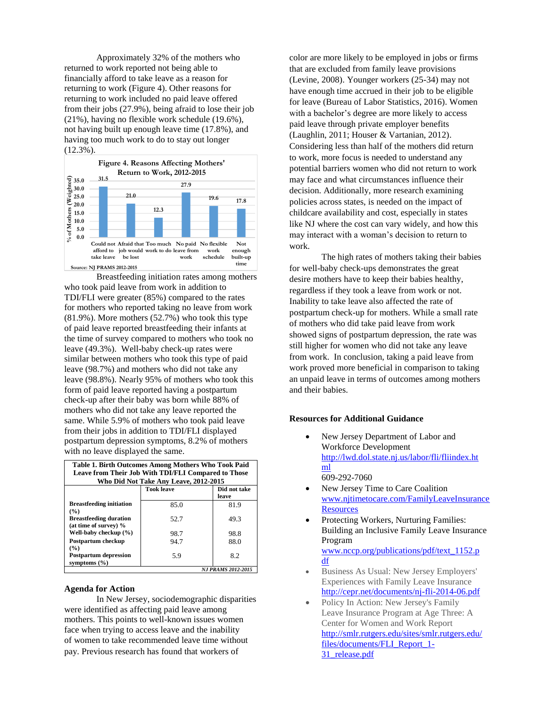Approximately 32% of the mothers who returned to work reported not being able to financially afford to take leave as a reason for returning to work (Figure 4). Other reasons for returning to work included no paid leave offered from their jobs (27.9%), being afraid to lose their job (21%), having no flexible work schedule (19.6%), not having built up enough leave time (17.8%), and having too much work to do to stay out longer (12.3%).



Breastfeeding initiation rates among mothers who took paid leave from work in addition to TDI/FLI were greater (85%) compared to the rates for mothers who reported taking no leave from work (81.9%). More mothers (52.7%) who took this type of paid leave reported breastfeeding their infants at the time of survey compared to mothers who took no leave (49.3%). Well-baby check-up rates were similar between mothers who took this type of paid leave (98.7%) and mothers who did not take any leave (98.8%). Nearly 95% of mothers who took this form of paid leave reported having a postpartum check-up after their baby was born while 88% of mothers who did not take any leave reported the same. While 5.9% of mothers who took paid leave from their jobs in addition to TDI/FLI displayed postpartum depression symptoms, 8.2% of mothers with no leave displayed the same.

| Table 1. Birth Outcomes Among Mothers Who Took Paid<br>Leave from Their Job With TDI/FLI Compared to Those<br>Who Did Not Take Any Leave, 2012-2015 |                   |                       |
|-----------------------------------------------------------------------------------------------------------------------------------------------------|-------------------|-----------------------|
|                                                                                                                                                     | <b>Took leave</b> | Did not take<br>leave |
| <b>Breastfeeding initiation</b><br>$($ %)                                                                                                           | 85.0              | 81.9                  |
| <b>Breastfeeding duration</b><br>(at time of survey) %                                                                                              | 52.7              | 49.3                  |
| Well-baby checkup (%)                                                                                                                               | 98.7              | 98.8                  |
| <b>Postpartum checkup</b><br>(%)                                                                                                                    | 94.7              | 88.0                  |
| <b>Postpartum depression</b><br>symptoms $(\% )$                                                                                                    | 5.9               | 8.2                   |
| <b>NJ PRAMS 2012-2015</b>                                                                                                                           |                   |                       |

## **Agenda for Action**

In New Jersey, sociodemographic disparities were identified as affecting paid leave among mothers. This points to well-known issues women face when trying to access leave and the inability of women to take recommended leave time without pay. Previous research has found that workers of

color are more likely to be employed in jobs or firms that are excluded from family leave provisions (Levine, 2008). Younger workers (25-34) may not have enough time accrued in their job to be eligible for leave (Bureau of Labor Statistics, 2016). Women with a bachelor's degree are more likely to access paid leave through private employer benefits (Laughlin, 2011; Houser & Vartanian, 2012). Considering less than half of the mothers did return to work, more focus is needed to understand any potential barriers women who did not return to work may face and what circumstances influence their decision. Additionally, more research examining policies across states, is needed on the impact of childcare availability and cost, especially in states like NJ where the cost can vary widely, and how this may interact with a woman's decision to return to work.

The high rates of mothers taking their babies for well-baby check-ups demonstrates the great desire mothers have to keep their babies healthy, regardless if they took a leave from work or not. Inability to take leave also affected the rate of postpartum check-up for mothers. While a small rate of mothers who did take paid leave from work showed signs of postpartum depression, the rate was still higher for women who did not take any leave from work. In conclusion, taking a paid leave from work proved more beneficial in comparison to taking an unpaid leave in terms of outcomes among mothers and their babies.

#### **Resources for Additional Guidance**

- New Jersey Department of Labor and Workforce Development [http://lwd.dol.state.nj.us/labor/fli/fliindex.ht](http://lwd.dol.state.nj.us/labor/fli/fliindex.html) [ml](http://lwd.dol.state.nj.us/labor/fli/fliindex.html) 609-292-7060
- New Jersey Time to Care Coalition [www.njtimetocare.com/FamilyLeaveInsurance](http://www.njtimetocare.com/FamilyLeaveInsuranceResources) **[Resources](http://www.njtimetocare.com/FamilyLeaveInsuranceResources)**
- Protecting Workers, Nurturing Families: Building an Inclusive Family Leave Insurance Program www.nccp.org/publications/pdf/text\_1152.p df
- Business As Usual: New Jersey Employers' Experiences with Family Leave Insurance <http://cepr.net/documents/nj-fli-2014-06.pdf>
- Policy In Action: New Jersey's Family Leave Insurance Program at Age Three: A Center for Women and Work Report [http://smlr.rutgers.edu/sites/smlr.rutgers.edu/](http://smlr.rutgers.edu/sites/smlr.rutgers.edu/files/documents/FLI_Report_1-31_release.pdf) [files/documents/FLI\\_Report\\_1-](http://smlr.rutgers.edu/sites/smlr.rutgers.edu/files/documents/FLI_Report_1-31_release.pdf) [31\\_release.pdf](http://smlr.rutgers.edu/sites/smlr.rutgers.edu/files/documents/FLI_Report_1-31_release.pdf)